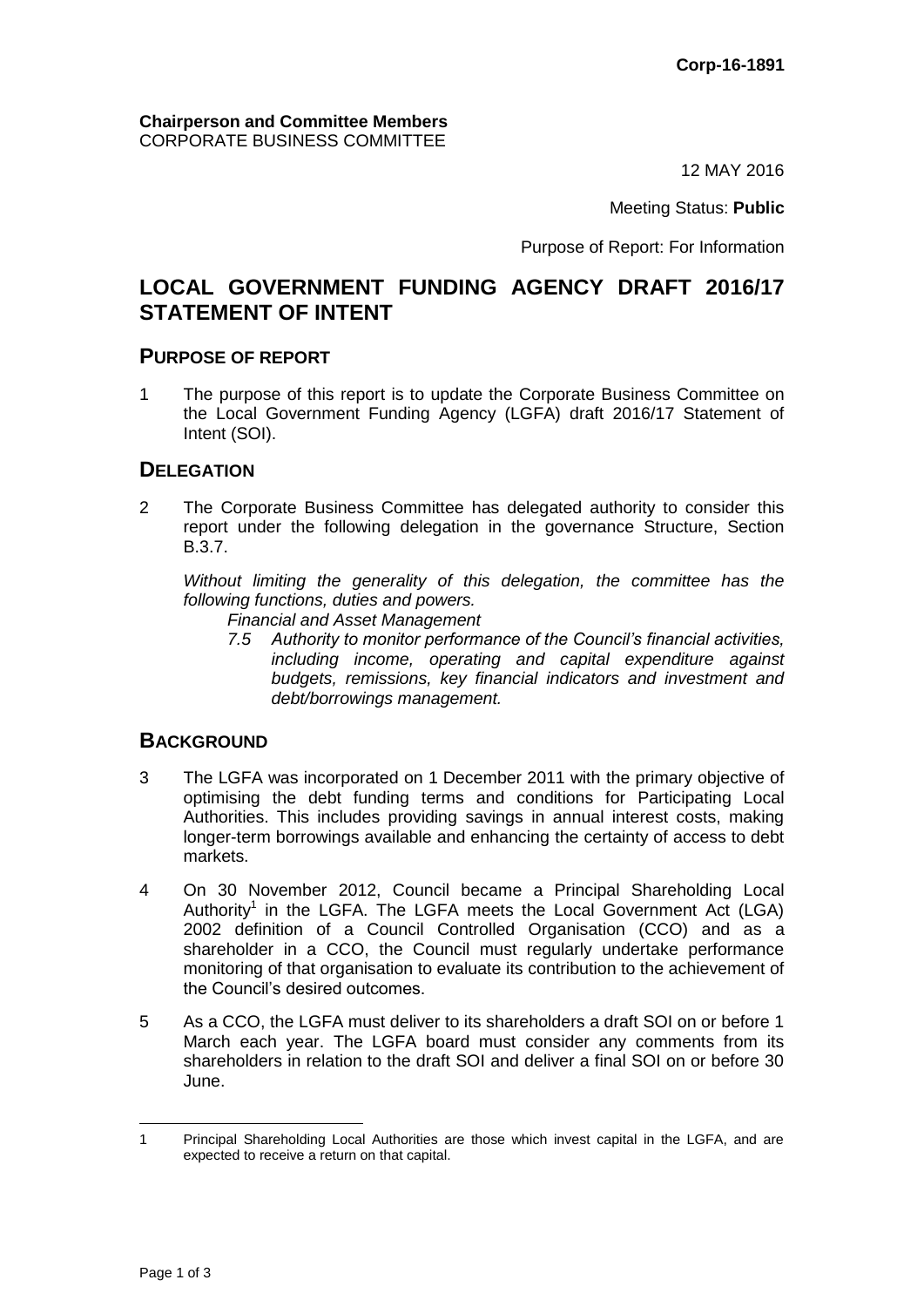12 MAY 2016

Meeting Status: **Public**

Purpose of Report: For Information

# **LOCAL GOVERNMENT FUNDING AGENCY DRAFT 2016/17 STATEMENT OF INTENT**

#### **PURPOSE OF REPORT**

1 The purpose of this report is to update the Corporate Business Committee on the Local Government Funding Agency (LGFA) draft 2016/17 Statement of Intent (SOI).

#### **DELEGATION**

2 The Corporate Business Committee has delegated authority to consider this report under the following delegation in the governance Structure, Section B.3.7.

*Without limiting the generality of this delegation, the committee has the following functions, duties and powers.*

- *Financial and Asset Management*
- *7.5 Authority to monitor performance of the Council's financial activities, including income, operating and capital expenditure against budgets, remissions, key financial indicators and investment and debt/borrowings management.*

#### **BACKGROUND**

- 3 The LGFA was incorporated on 1 December 2011 with the primary objective of optimising the debt funding terms and conditions for Participating Local Authorities. This includes providing savings in annual interest costs, making longer-term borrowings available and enhancing the certainty of access to debt markets.
- 4 On 30 November 2012, Council became a Principal Shareholding Local Authority<sup>1</sup> in the LGFA. The LGFA meets the Local Government Act (LGA) 2002 definition of a Council Controlled Organisation (CCO) and as a shareholder in a CCO, the Council must regularly undertake performance monitoring of that organisation to evaluate its contribution to the achievement of the Council's desired outcomes.
- 5 As a CCO, the LGFA must deliver to its shareholders a draft SOI on or before 1 March each year. The LGFA board must consider any comments from its shareholders in relation to the draft SOI and deliver a final SOI on or before 30 June.

 1 Principal Shareholding Local Authorities are those which invest capital in the LGFA, and are expected to receive a return on that capital.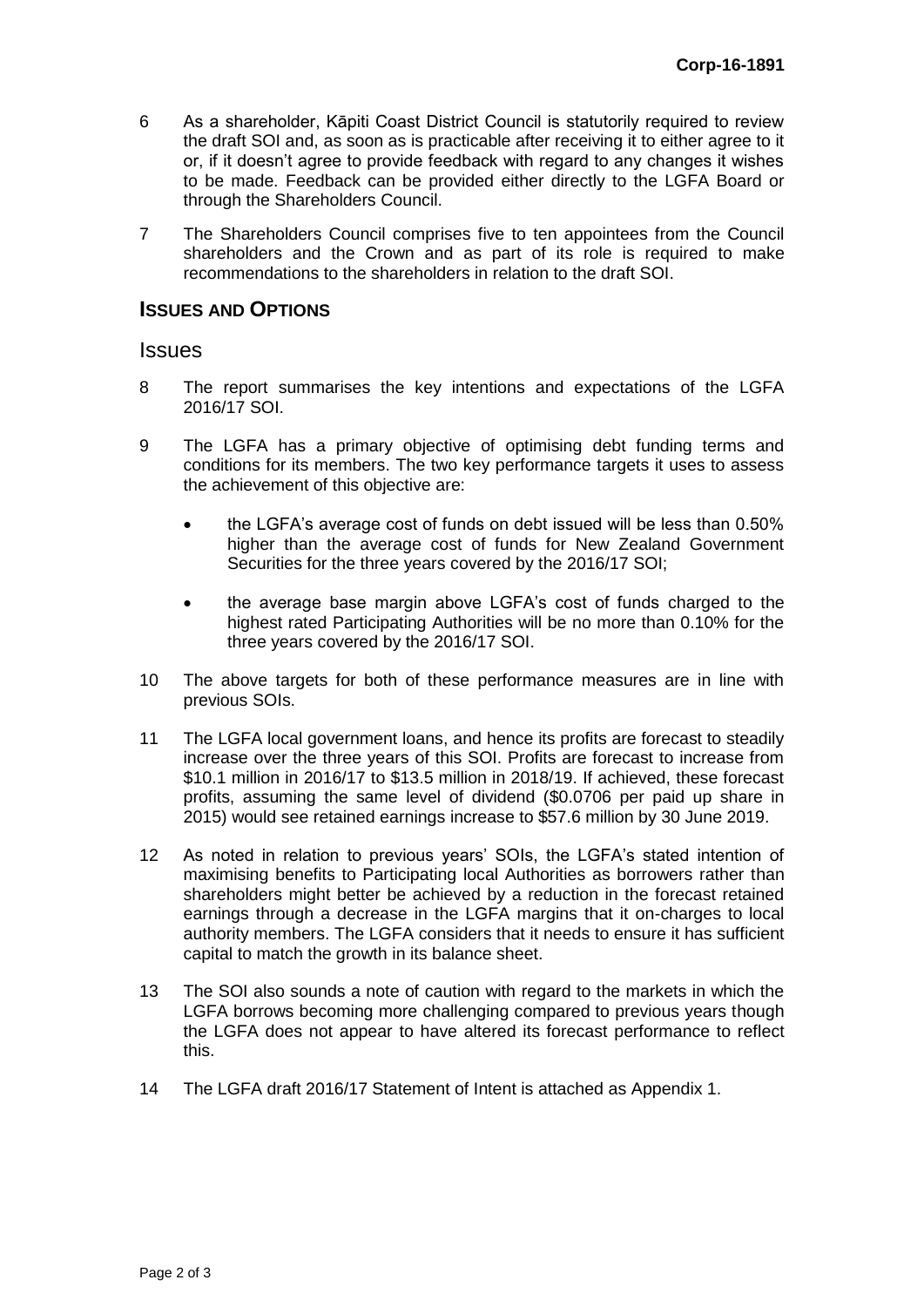- 6 As a shareholder, Kāpiti Coast District Council is statutorily required to review the draft SOI and, as soon as is practicable after receiving it to either agree to it or, if it doesn't agree to provide feedback with regard to any changes it wishes to be made. Feedback can be provided either directly to the LGFA Board or through the Shareholders Council.
- 7 The Shareholders Council comprises five to ten appointees from the Council shareholders and the Crown and as part of its role is required to make recommendations to the shareholders in relation to the draft SOI.

#### **ISSUES AND OPTIONS**

#### **Issues**

- 8 The report summarises the key intentions and expectations of the LGFA 2016/17 SOI.
- 9 The LGFA has a primary objective of optimising debt funding terms and conditions for its members. The two key performance targets it uses to assess the achievement of this objective are:
	- the LGFA's average cost of funds on debt issued will be less than 0.50% higher than the average cost of funds for New Zealand Government Securities for the three years covered by the 2016/17 SOI;
	- the average base margin above LGFA's cost of funds charged to the highest rated Participating Authorities will be no more than 0.10% for the three years covered by the 2016/17 SOI.
- 10 The above targets for both of these performance measures are in line with previous SOIs.
- 11 The LGFA local government loans, and hence its profits are forecast to steadily increase over the three years of this SOI. Profits are forecast to increase from \$10.1 million in 2016/17 to \$13.5 million in 2018/19. If achieved, these forecast profits, assuming the same level of dividend (\$0.0706 per paid up share in 2015) would see retained earnings increase to \$57.6 million by 30 June 2019.
- 12 As noted in relation to previous years' SOIs, the LGFA's stated intention of maximising benefits to Participating local Authorities as borrowers rather than shareholders might better be achieved by a reduction in the forecast retained earnings through a decrease in the LGFA margins that it on-charges to local authority members. The LGFA considers that it needs to ensure it has sufficient capital to match the growth in its balance sheet.
- 13 The SOI also sounds a note of caution with regard to the markets in which the LGFA borrows becoming more challenging compared to previous years though the LGFA does not appear to have altered its forecast performance to reflect this.
- 14 The LGFA draft 2016/17 Statement of Intent is attached as Appendix 1.